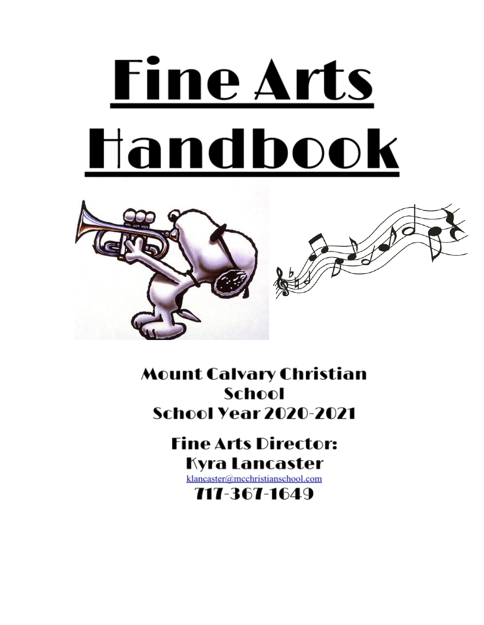# **Fine Arts** Handbook



**Mount Calvary Christian School School Year 2020-2021** 

# **Fine Arts Director:** Kyra Lancaster

klancaster@mcchristianschool.com

717-367-1649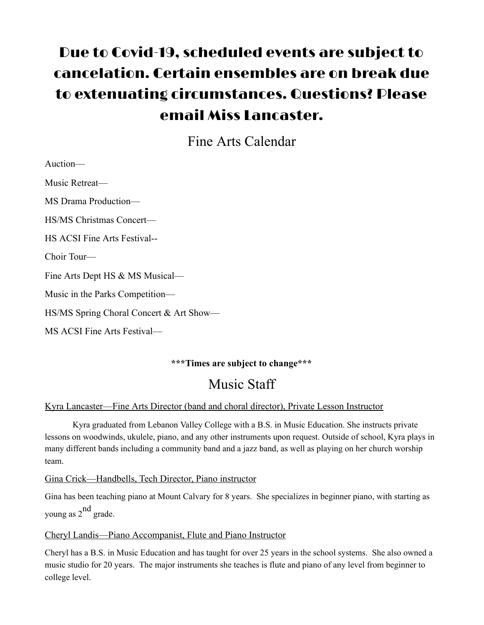## Due to Covid-19, scheduled events are subject to cancelation. Certain ensembles are on break due to extenuating circumstances. Questions? Please email Miss Lancaster.

Fine Arts Calendar

| Auction—                                |
|-----------------------------------------|
| Music Retreat—                          |
| MS Drama Production-                    |
| <b>HS/MS Christmas Concert-</b>         |
| <b>HS ACSI Fine Arts Festival--</b>     |
| Choir Tour-                             |
| Fine Arts Dept HS & MS Musical-         |
| Music in the Parks Competition—         |
| HS/MS Spring Choral Concert & Art Show— |
| MS ACSI Fine Arts Festival—             |

#### **\*\*\*Times are subject to change\*\*\***

## Music Staff

#### Kyra Lancaster—Fine Arts Director (band and choral director), Private Lesson Instructor

Kyra graduated from Lebanon Valley College with a B.S. in Music Education. She instructs private lessons on woodwinds, ukulele, piano, and any other instruments upon request. Outside of school, Kyra plays in many different bands including a community band and a jazz band, as well as playing on her church worship team.

Gina Crick—Handbells, Tech Director, Piano instructor

Gina has been teaching piano at Mount Calvary for 8 years. She specializes in beginner piano, with starting as young as 2<sup>nd</sup> grade.

#### Cheryl Landis—Piano Accompanist, Flute and Piano Instructor

Cheryl has a B.S. in Music Education and has taught for over 25 years in the school systems. She also owned a music studio for 20 years. The major instruments she teaches is flute and piano of any level from beginner to college level.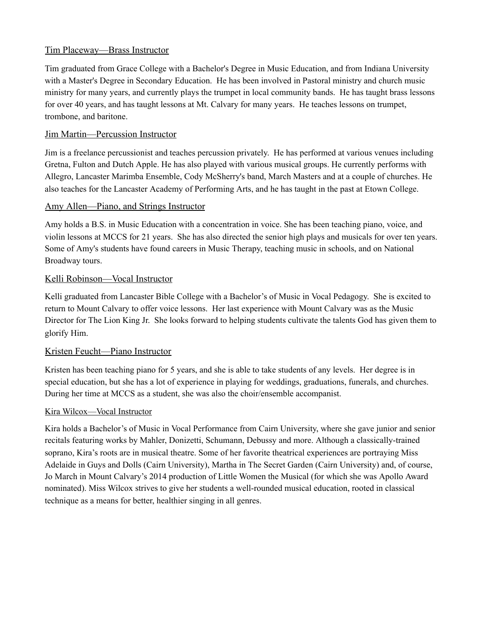#### Tim Placeway—Brass Instructor

Tim graduated from Grace College with a Bachelor's Degree in Music Education, and from Indiana University with a Master's Degree in Secondary Education. He has been involved in Pastoral ministry and church music ministry for many years, and currently plays the trumpet in local community bands. He has taught brass lessons for over 40 years, and has taught lessons at Mt. Calvary for many years. He teaches lessons on trumpet, trombone, and baritone.

#### Jim Martin—Percussion Instructor

Jim is a freelance percussionist and teaches percussion privately. He has performed at various venues including Gretna, Fulton and Dutch Apple. He has also played with various musical groups. He currently performs with Allegro, Lancaster Marimba Ensemble, Cody McSherry's band, March Masters and at a couple of churches. He also teaches for the Lancaster Academy of Performing Arts, and he has taught in the past at Etown College.

#### Amy Allen—Piano, and Strings Instructor

Amy holds a B.S. in Music Education with a concentration in voice. She has been teaching piano, voice, and violin lessons at MCCS for 21 years. She has also directed the senior high plays and musicals for over ten years. Some of Amy's students have found careers in Music Therapy, teaching music in schools, and on National Broadway tours.

#### Kelli Robinson—Vocal Instructor

Kelli graduated from Lancaster Bible College with a Bachelor's of Music in Vocal Pedagogy. She is excited to return to Mount Calvary to offer voice lessons. Her last experience with Mount Calvary was as the Music Director for The Lion King Jr. She looks forward to helping students cultivate the talents God has given them to glorify Him.

#### Kristen Feucht—Piano Instructor

Kristen has been teaching piano for 5 years, and she is able to take students of any levels. Her degree is in special education, but she has a lot of experience in playing for weddings, graduations, funerals, and churches. During her time at MCCS as a student, she was also the choir/ensemble accompanist.

#### Kira Wilcox—Vocal Instructor

Kira holds a Bachelor's of Music in Vocal Performance from Cairn University, where she gave junior and senior recitals featuring works by Mahler, Donizetti, Schumann, Debussy and more. Although a classically-trained soprano, Kira's roots are in musical theatre. Some of her favorite theatrical experiences are portraying Miss Adelaide in Guys and Dolls (Cairn University), Martha in The Secret Garden (Cairn University) and, of course, Jo March in Mount Calvary's 2014 production of Little Women the Musical (for which she was Apollo Award nominated). Miss Wilcox strives to give her students a well-rounded musical education, rooted in classical technique as a means for better, healthier singing in all genres.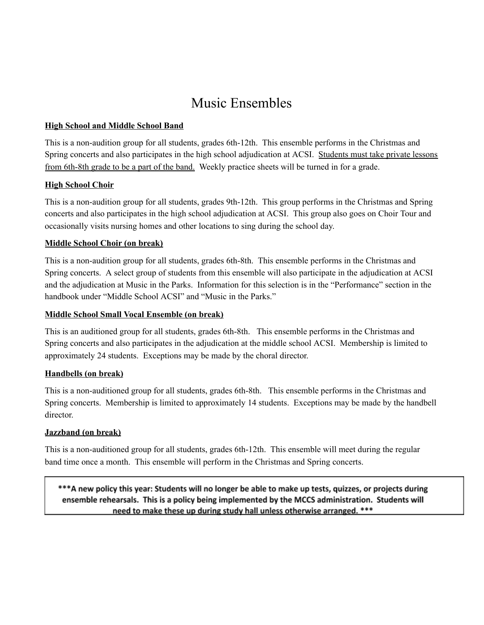## Music Ensembles

#### **High School and Middle School Band**

This is a non-audition group for all students, grades 6th-12th. This ensemble performs in the Christmas and Spring concerts and also participates in the high school adjudication at ACSI. Students must take private lessons from 6th-8th grade to be a part of the band. Weekly practice sheets will be turned in for a grade.

#### **High School Choir**

This is a non-audition group for all students, grades 9th-12th. This group performs in the Christmas and Spring concerts and also participates in the high school adjudication at ACSI. This group also goes on Choir Tour and occasionally visits nursing homes and other locations to sing during the school day.

#### **Middle School Choir (on break)**

This is a non-audition group for all students, grades 6th-8th. This ensemble performs in the Christmas and Spring concerts. A select group of students from this ensemble will also participate in the adjudication at ACSI and the adjudication at Music in the Parks. Information for this selection is in the "Performance" section in the handbook under "Middle School ACSI" and "Music in the Parks."

#### **Middle School Small Vocal Ensemble (on break)**

This is an auditioned group for all students, grades 6th-8th. This ensemble performs in the Christmas and Spring concerts and also participates in the adjudication at the middle school ACSI. Membership is limited to approximately 24 students. Exceptions may be made by the choral director.

#### **Handbells (on break)**

This is a non-auditioned group for all students, grades 6th-8th. This ensemble performs in the Christmas and Spring concerts. Membership is limited to approximately 14 students. Exceptions may be made by the handbell director.

#### **Jazzband (on break)**

This is a non-auditioned group for all students, grades 6th-12th. This ensemble will meet during the regular band time once a month. This ensemble will perform in the Christmas and Spring concerts.

\*\*\*A new policy this year: Students will no longer be able to make up tests, quizzes, or projects during ensemble rehearsals. This is a policy being implemented by the MCCS administration. Students will need to make these up during study hall unless otherwise arranged. \*\*\*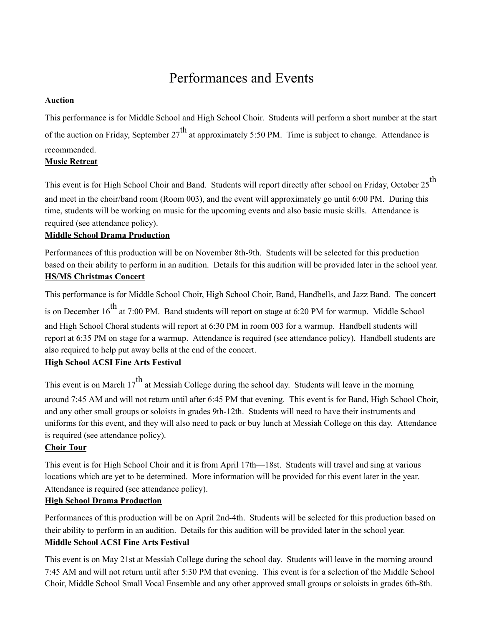## Performances and Events

#### **Auction**

This performance is for Middle School and High School Choir. Students will perform a short number at the start of the auction on Friday, September 27<sup>th</sup> at approximately 5:50 PM. Time is subject to change. Attendance is recommended.

#### **Music Retreat**

This event is for High School Choir and Band. Students will report directly after school on Friday, October 25<sup>th</sup> and meet in the choir/band room (Room 003), and the event will approximately go until 6:00 PM. During this time, students will be working on music for the upcoming events and also basic music skills. Attendance is required (see attendance policy).

#### **Middle School Drama Production**

Performances of this production will be on November 8th-9th. Students will be selected for this production based on their ability to perform in an audition. Details for this audition will be provided later in the school year. **HS/MS Christmas Concert**

This performance is for Middle School Choir, High School Choir, Band, Handbells, and Jazz Band. The concert is on December 16<sup>th</sup> at 7:00 PM. Band students will report on stage at 6:20 PM for warmup. Middle School and High School Choral students will report at 6:30 PM in room 003 for a warmup. Handbell students will report at 6:35 PM on stage for a warmup. Attendance is required (see attendance policy). Handbell students are also required to help put away bells at the end of the concert.

#### **High School ACSI Fine Arts Festival**

This event is on March  $17^{th}$  at Messiah College during the school day. Students will leave in the morning around 7:45 AM and will not return until after 6:45 PM that evening. This event is for Band, High School Choir, and any other small groups or soloists in grades 9th-12th. Students will need to have their instruments and uniforms for this event, and they will also need to pack or buy lunch at Messiah College on this day. Attendance is required (see attendance policy).

#### **Choir Tour**

This event is for High School Choir and it is from April 17th—18st. Students will travel and sing at various locations which are yet to be determined. More information will be provided for this event later in the year. Attendance is required (see attendance policy).

#### **High School Drama Production**

Performances of this production will be on April 2nd-4th. Students will be selected for this production based on their ability to perform in an audition. Details for this audition will be provided later in the school year. **Middle School ACSI Fine Arts Festival**

This event is on May 21st at Messiah College during the school day. Students will leave in the morning around 7:45 AM and will not return until after 5:30 PM that evening. This event is for a selection of the Middle School Choir, Middle School Small Vocal Ensemble and any other approved small groups or soloists in grades 6th-8th.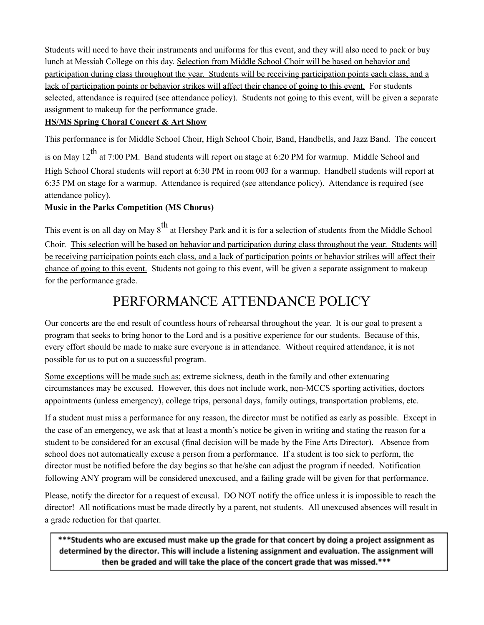Students will need to have their instruments and uniforms for this event, and they will also need to pack or buy lunch at Messiah College on this day. Selection from Middle School Choir will be based on behavior and participation during class throughout the year. Students will be receiving participation points each class, and a lack of participation points or behavior strikes will affect their chance of going to this event. For students selected, attendance is required (see attendance policy). Students not going to this event, will be given a separate assignment to makeup for the performance grade.

#### **HS/MS Spring Choral Concert & Art Show**

This performance is for Middle School Choir, High School Choir, Band, Handbells, and Jazz Band. The concert is on May 12<sup>th</sup> at 7:00 PM. Band students will report on stage at 6:20 PM for warmup. Middle School and High School Choral students will report at 6:30 PM in room 003 for a warmup. Handbell students will report at 6:35 PM on stage for a warmup. Attendance is required (see attendance policy). Attendance is required (see attendance policy).

#### **Music in the Parks Competition (MS Chorus)**

This event is on all day on May  $8^{\text{th}}$  at Hershey Park and it is for a selection of students from the Middle School Choir. This selection will be based on behavior and participation during class throughout the year. Students will be receiving participation points each class, and a lack of participation points or behavior strikes will affect their chance of going to this event. Students not going to this event, will be given a separate assignment to makeup for the performance grade.

## PERFORMANCE ATTENDANCE POLICY

Our concerts are the end result of countless hours of rehearsal throughout the year. It is our goal to present a program that seeks to bring honor to the Lord and is a positive experience for our students. Because of this, every effort should be made to make sure everyone is in attendance. Without required attendance, it is not possible for us to put on a successful program.

Some exceptions will be made such as: extreme sickness, death in the family and other extenuating circumstances may be excused. However, this does not include work, non-MCCS sporting activities, doctors appointments (unless emergency), college trips, personal days, family outings, transportation problems, etc.

If a student must miss a performance for any reason, the director must be notified as early as possible. Except in the case of an emergency, we ask that at least a month's notice be given in writing and stating the reason for a student to be considered for an excusal (final decision will be made by the Fine Arts Director). Absence from school does not automatically excuse a person from a performance. If a student is too sick to perform, the director must be notified before the day begins so that he/she can adjust the program if needed. Notification following ANY program will be considered unexcused, and a failing grade will be given for that performance.

Please, notify the director for a request of excusal. DO NOT notify the office unless it is impossible to reach the director! All notifications must be made directly by a parent, not students. All unexcused absences will result in a grade reduction for that quarter.

\*\*\*Students who are excused must make up the grade for that concert by doing a project assignment as determined by the director. This will include a listening assignment and evaluation. The assignment will then be graded and will take the place of the concert grade that was missed.\*\*\*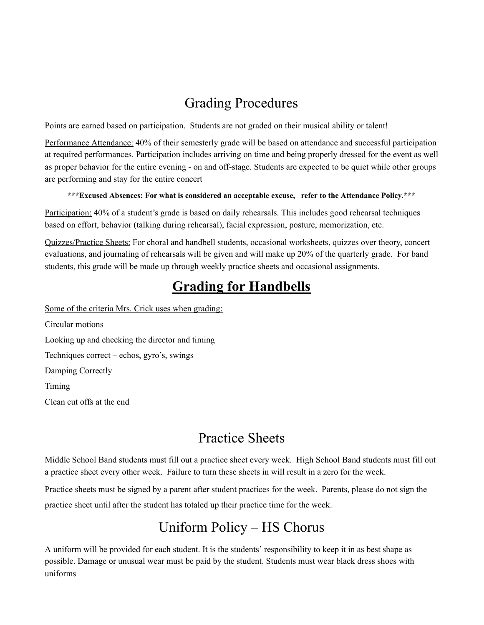## Grading Procedures

Points are earned based on participation. Students are not graded on their musical ability or talent!

Performance Attendance: 40% of their semesterly grade will be based on attendance and successful participation at required performances. Participation includes arriving on time and being properly dressed for the event as well as proper behavior for the entire evening - on and off-stage. Students are expected to be quiet while other groups are performing and stay for the entire concert

#### **\*\*\*Excused Absences: For what is considered an acceptable excuse, refer to the Attendance Policy.\*\*\***

Participation: 40% of a student's grade is based on daily rehearsals. This includes good rehearsal techniques based on effort, behavior (talking during rehearsal), facial expression, posture, memorization, etc.

Quizzes/Practice Sheets: For choral and handbell students, occasional worksheets, quizzes over theory, concert evaluations, and journaling of rehearsals will be given and will make up 20% of the quarterly grade. For band students, this grade will be made up through weekly practice sheets and occasional assignments.

## **Grading for Handbells**

Some of the criteria Mrs. Crick uses when grading:

Circular motions Looking up and checking the director and timing Techniques correct – echos, gyro's, swings Damping Correctly Timing Clean cut offs at the end

## Practice Sheets

Middle School Band students must fill out a practice sheet every week. High School Band students must fill out a practice sheet every other week. Failure to turn these sheets in will result in a zero for the week.

Practice sheets must be signed by a parent after student practices for the week. Parents, please do not sign the practice sheet until after the student has totaled up their practice time for the week.

## Uniform Policy – HS Chorus

A uniform will be provided for each student. It is the students' responsibility to keep it in as best shape as possible. Damage or unusual wear must be paid by the student. Students must wear black dress shoes with uniforms